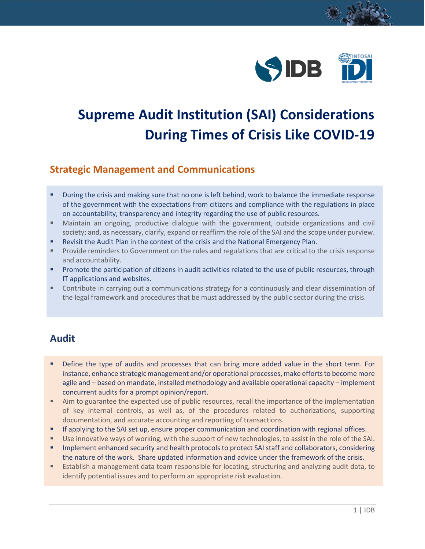

# **Supreme Audit Institution (SAI) Considerations During Times of Crisis Like COVID-19**

#### **Strategic Management and Communications**

- During the crisis and making sure that no one is left behind, work to balance the immediate response of the government with the expectations from citizens and compliance with the regulations in place on accountability, transparency and integrity regarding the use of public resources.
- Maintain an ongoing, productive dialogue with the government, outside organizations and civil society; and, as necessary, clarify, expand or reaffirm the role of the SAI and the scope under purview.
- Revisit the Audit Plan in the context of the crisis and the National Emergency Plan.
- Provide reminders to Government on the rules and regulations that are critical to the crisis response and accountability.
- Promote the participation of citizens in audit activities related to the use of public resources, through IT applications and websites.
- Contribute in carrying out a communications strategy for a continuously and clear dissemination of the legal framework and procedures that be must addressed by the public sector during the crisis.

## **Audit**

- Define the type of audits and processes that can bring more added value in the short term. For instance, enhance strategic management and/or operational processes, make efforts to become more agile and – based on mandate, installed methodology and available operational capacity – implement concurrent audits for a prompt opinion/report.
- Aim to guarantee the expected use of public resources, recall the importance of the implementation of key internal controls, as well as, of the procedures related to authorizations, supporting documentation, and accurate accounting and reporting of transactions.
- **■** If applying to the SAI set up, ensure proper communication and coordination with regional offices.
- Use innovative ways of working, with the support of new technologies, to assist in the role of the SAI.
- Implement enhanced security and health protocols to protect SAI staff and collaborators, considering the nature of the work. Share updated information and advice under the framework of the crisis.
- Establish a management data team responsible for locating, structuring and analyzing audit data, to identify potential issues and to perform an appropriate risk evaluation.